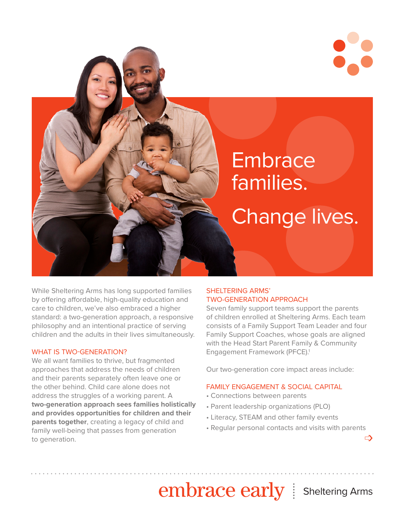

While Sheltering Arms has long supported families by offering affordable, high-quality education and care to children, we've also embraced a higher standard: a two-generation approach, a responsive philosophy and an intentional practice of serving children and the adults in their lives simultaneously.

#### WHAT IS TWO-GENERATION?

We all want families to thrive, but fragmented approaches that address the needs of children and their parents separately often leave one or the other behind. Child care alone does not address the struggles of a working parent. A **two-generation approach sees families holistically and provides opportunities for children and their parents together**, creating a legacy of child and family well-being that passes from generation to generation.

# SHELTERING ARMS' TWO-GENERATION APPROACH

Seven family support teams support the parents of children enrolled at Sheltering Arms. Each team consists of a Family Support Team Leader and four Family Support Coaches, whose goals are aligned with the Head Start Parent Family & Community Engagement Framework (PFCE).<sup>1</sup>

Our two-generation core impact areas include:

### FAMILY ENGAGEMENT & SOCIAL CAPITAL

- Connections between parents
- Parent leadership organizations (PLO)
- Literacy, STEAM and other family events
- Regular personal contacts and visits with parents ➩

embrace early | Sheltering Arms